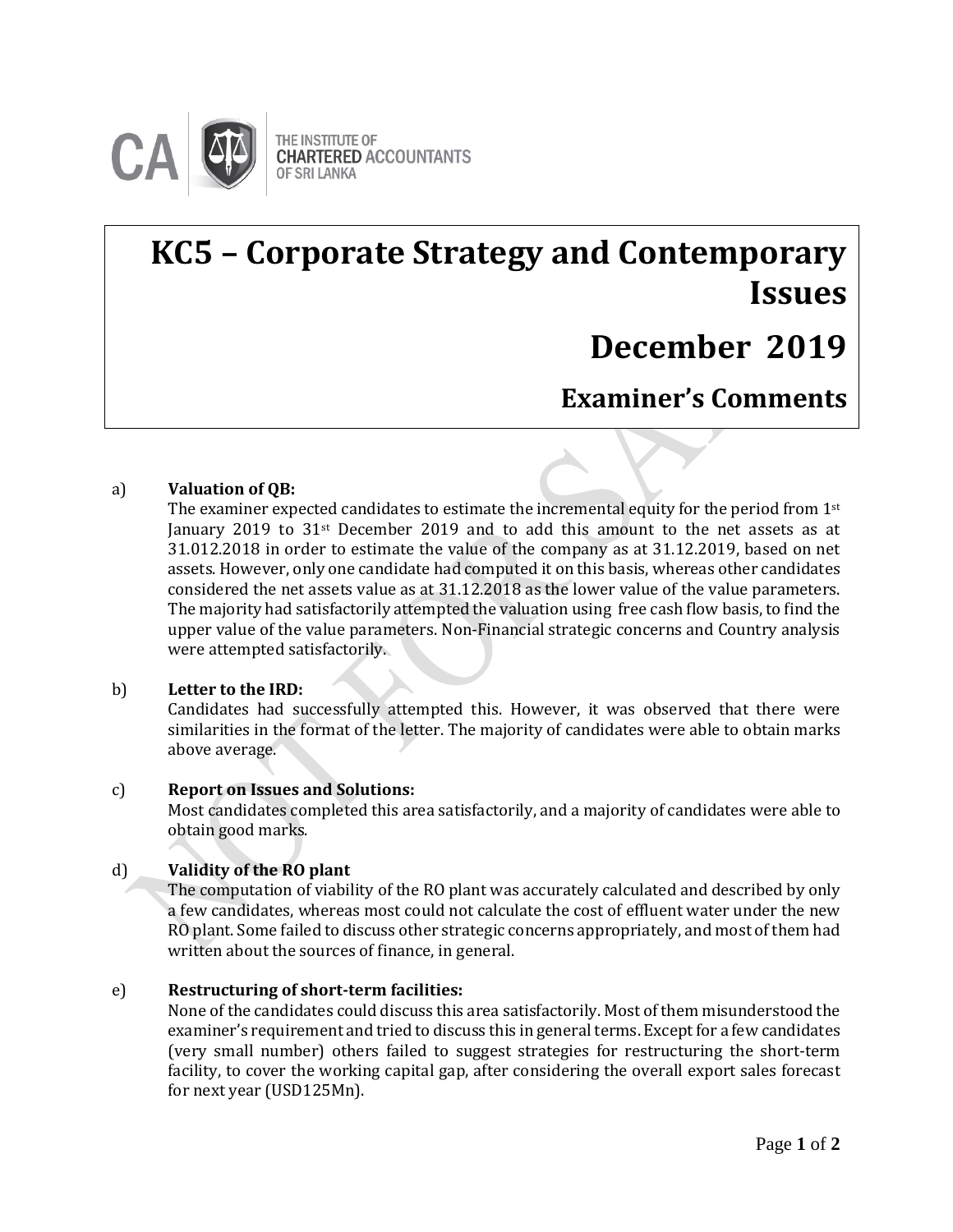

# **KC5 – Corporate Strategy and Contemporary Issues**

## **December 2019**

**Examiner's Comments**

### a) **Valuation of QB: Examiner's Comments**

The examiner expected candidates to estimate the incremental equity for the period from  $1<sup>st</sup>$ January 2019 to  $31$ <sup>st</sup> December 2019 and to add this amount to the net assets as at 31.012.2018 in order to estimate the value of the company as at 31.12.2019, based on net assets. However, only one candidate had computed it on this basis, whereas other candidates considered the net assets value as at 31.12.2018 as the lower value of the value parameters. The majority had satisfactorily attempted the valuation using free cash flow basis, to find the upper value of the value parameters. Non-Financial strategic concerns and Country analysis were attempted satisfactorily.

#### b) **Letter to the IRD:**

Candidates had successfully attempted this. However, it was observed that there were similarities in the format of the letter. The majority of candidates were able to obtain marks above average.

#### c) **Report on Issues and Solutions:**

Most candidates completed this area satisfactorily, and a majority of candidates were able to obtain good marks.

#### d) **Validity of the RO plant**

The computation of viability of the RO plant was accurately calculated and described by only a few candidates, whereas most could not calculate the cost of effluent water under the new RO plant. Some failed to discuss other strategic concerns appropriately, and most of them had written about the sources of finance, in general.

#### e) **Restructuring of short-term facilities:**

None of the candidates could discuss this area satisfactorily. Most of them misunderstood the examiner's requirement and tried to discuss this in general terms. Exceptfor a few candidates (very small number) others failed to suggest strategies for restructuring the short-term facility, to cover the working capital gap, after considering the overall export sales forecast for next year (USD125Mn).